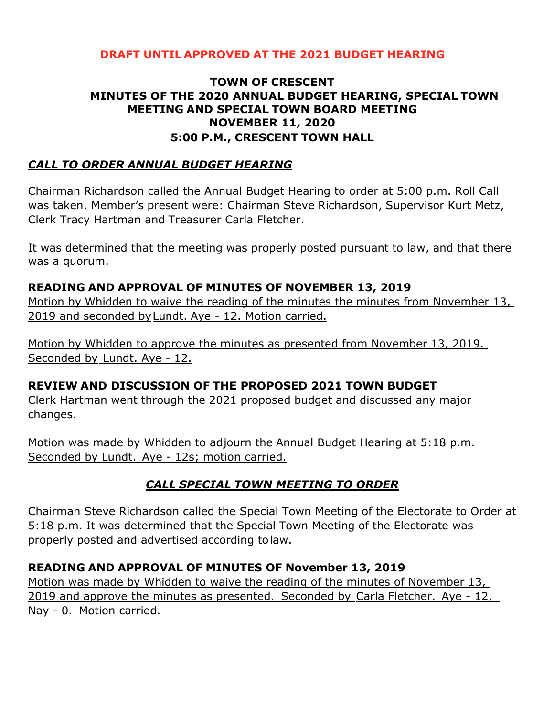#### **DRAFT UNTIL APPROVED AT THE 2021 BUDGET HEARING**

#### **TOWN OF CRESCENT MINUTES OF THE 2020 ANNUAL BUDGET HEARING, SPECIAL TOWN MEETING AND SPECIAL TOWN BOARD MEETING NOVEMBER 11, 2020 5:00 P.M., CRESCENT TOWN HALL**

#### *CALL TO ORDER ANNUAL BUDGET HEARING*

Chairman Richardson called the Annual Budget Hearing to order at 5:00 p.m. Roll Call was taken. Member's present were: Chairman Steve Richardson, Supervisor Kurt Metz, Clerk Tracy Hartman and Treasurer Carla Fletcher.

It was determined that the meeting was properly posted pursuant to law, and that there was a quorum.

#### **READING AND APPROVAL OF MINUTES OF NOVEMBER 13, 2019**

Motion by Whidden to waive the reading of the minutes the minutes from November 13, 2019 and seconded byLundt. Aye - 12. Motion carried.

Motion by Whidden to approve the minutes as presented from November 13, 2019. Seconded by Lundt. Aye - 12.

## **REVIEW AND DISCUSSION OF THE PROPOSED 2021 TOWN BUDGET**

Clerk Hartman went through the 2021 proposed budget and discussed any major changes.

Motion was made by Whidden to adjourn the Annual Budget Hearing at 5:18 p.m. Seconded by Lundt. Aye - 12s; motion carried.

## *CALL SPECIAL TOWN MEETING TO ORDER*

Chairman Steve Richardson called the Special Town Meeting of the Electorate to Order at 5:18 p.m. It was determined that the Special Town Meeting of the Electorate was properly posted and advertised according tolaw.

## **READING AND APPROVAL OF MINUTES OF November 13, 2019**

Motion was made by Whidden to waive the reading of the minutes of November 13, 2019 and approve the minutes as presented. Seconded by Carla Fletcher. Aye - 12, Nay - 0. Motion carried.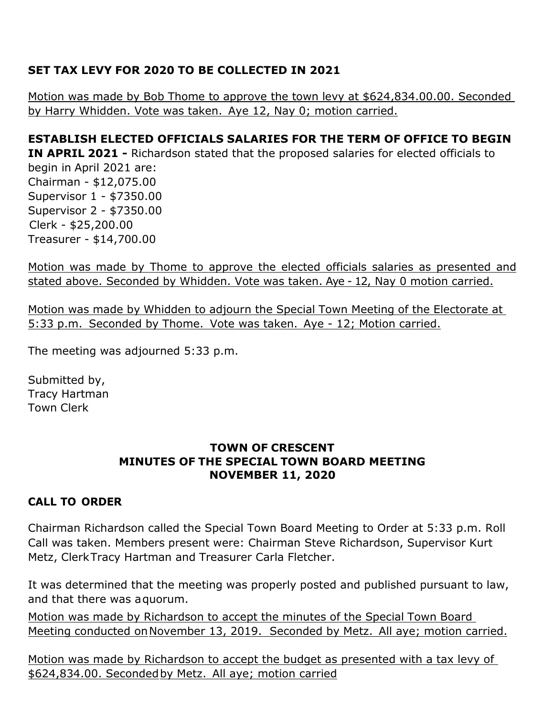# **SET TAX LEVY FOR 2020 TO BE COLLECTED IN 2021**

Motion was made by Bob Thome to approve the town levy at \$624,834.00.00. Seconded by Harry Whidden. Vote was taken. Aye 12, Nay 0; motion carried.

# **ESTABLISH ELECTED OFFICIALS SALARIES FOR THE TERM OF OFFICE TO BEGIN IN APRIL 2021 -** Richardson stated that the proposed salaries for elected officials to begin in April 2021 are: Chairman - \$12,075.00 Supervisor 1 - \$7350.00 Supervisor 2 - \$7350.00 Clerk - \$25,200.00 Treasurer - \$14,700.00

Motion was made by Thome to approve the elected officials salaries as presented and stated above. Seconded by Whidden. Vote was taken. Aye - 12, Nay 0 motion carried.

Motion was made by Whidden to adjourn the Special Town Meeting of the Electorate at 5:33 p.m. Seconded by Thome. Vote was taken. Aye - 12; Motion carried.

The meeting was adjourned 5:33 p.m.

Submitted by, Tracy Hartman Town Clerk

#### **TOWN OF CRESCENT MINUTES OF THE SPECIAL TOWN BOARD MEETING NOVEMBER 11, 2020**

## **CALL TO ORDER**

Chairman Richardson called the Special Town Board Meeting to Order at 5:33 p.m. Roll Call was taken. Members present were: Chairman Steve Richardson, Supervisor Kurt Metz, ClerkTracy Hartman and Treasurer Carla Fletcher.

It was determined that the meeting was properly posted and published pursuant to law, and that there was aquorum.

Motion was made by Richardson to accept the minutes of the Special Town Board Meeting conducted onNovember 13, 2019. Seconded by Metz. All aye; motion carried.

Motion was made by Richardson to accept the budget as presented with a tax levy of \$624,834.00. Secondedby Metz. All aye; motion carried